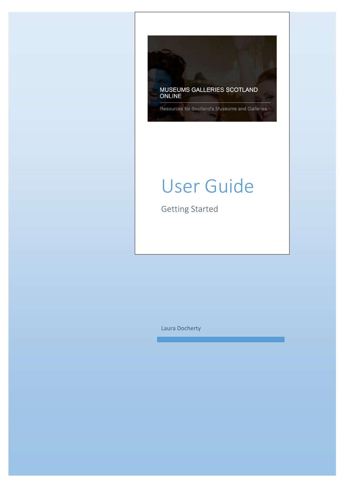

# User Guide

Getting Started

Laura Docherty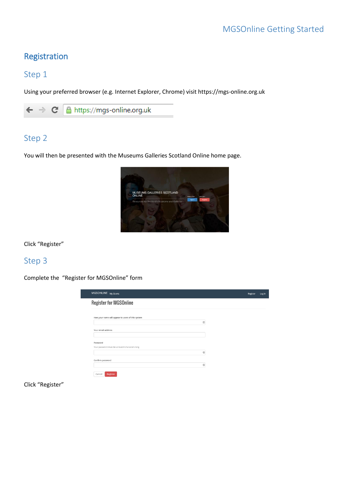# Registration

# Step 1

Using your preferred browser (e.g. Internet Explorer, Chrome) visit https://mgs-online.org.uk



# Step 2

You will then be presented with the Museums Galleries Scotland Online home page.



Click "Register"

# Step 3

Complete the "Register for MGSOnline" form

| <b>Register for MGSOnline</b>                     |                |  |
|---------------------------------------------------|----------------|--|
| How your name will appear to users of this system |                |  |
|                                                   | 回              |  |
| Your email address                                |                |  |
|                                                   |                |  |
| Password                                          |                |  |
| Your password must be at least 8 characters long  |                |  |
|                                                   | $\circledcirc$ |  |
| Confirm password                                  |                |  |
|                                                   | $\circledcirc$ |  |

Click "Register"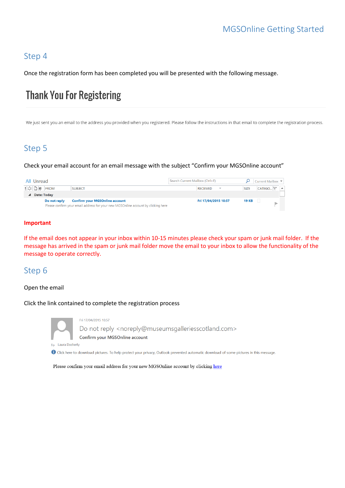# Step 4

Once the registration form has been completed you will be presented with the following message.

# **Thank You For Registering**

We just sent you an email to the address you provided when you registered. Please follow the instructions in that email to complete the registration process.

# Step 5

Check your email account for an email message with the subject "Confirm your MGSOnline account"

| All Unread  |              |                                                                                                                            | Search Current Mailbox (Ctrl+E)            |              | Current Mailbox $\blacktriangledown$ |  |
|-------------|--------------|----------------------------------------------------------------------------------------------------------------------------|--------------------------------------------|--------------|--------------------------------------|--|
| ‼☆ D ® FROM |              | <b>SUBJECT</b>                                                                                                             | <b>RECEIVED</b><br>$\overline{\mathbf{v}}$ | <b>SIZE</b>  | CATEGO                               |  |
| Date: Today |              |                                                                                                                            |                                            |              |                                      |  |
|             | Do not reply | <b>Confirm your MGSOnline account</b><br>Please confirm your email address for your new MGSOnline account by clicking here | Fri 17/04/2015 10:57                       | <b>19 KB</b> |                                      |  |

#### **Important**

If the email does not appear in your inbox within 10-15 minutes please check your spam or junk mail folder. If the message has arrived in the spam or junk mail folder move the email to your inbox to allow the functionality of the message to operate correctly.

# Step 6

#### Open the email

Click the link contained to complete the registration process



Fri 17/04/2015 10:57 Do not reply <noreply@museumsgalleriesscotland.com> Confirm your MGSOnline account

To Laura Docherty

Click here to download pictures. To help protect your privacy, Outlook prevented automatic download of some pictures in this message.

Please confirm your email address for your new MGSOnline account by clicking here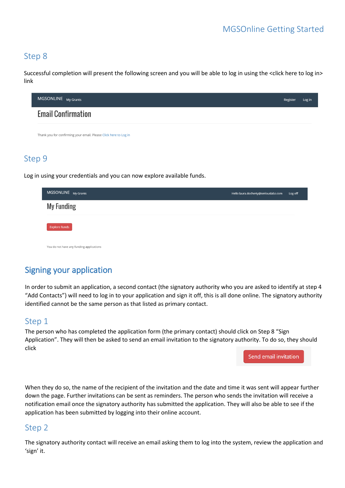# Step 8

Successful completion will present the following screen and you will be able to log in using the <click here to log in> link



Log in using your credentials and you can now explore available funds.

| MGSONLINE My Grants                      | Hello laura.docherty@seriouslabz.com | Log off |
|------------------------------------------|--------------------------------------|---------|
| <b>My Funding</b>                        |                                      |         |
| <b>Explore funds</b>                     |                                      |         |
| You do not have any funding applications |                                      |         |

# Signing your application

In order to submit an application, a second contact (the signatory authority who you are asked to identify at step 4 "Add Contacts") will need to log in to your application and sign it off, this is all done online. The signatory authority identified cannot be the same person as that listed as primary contact.

### Step 1

The person who has completed the application form (the primary contact) should click on Step 8 "Sign Application". They will then be asked to send an email invitation to the signatory authority. To do so, they should click

Send email invitation

When they do so, the name of the recipient of the invitation and the date and time it was sent will appear further down the page. Further invitations can be sent as reminders. The person who sends the invitation will receive a notification email once the signatory authority has submitted the application. They will also be able to see if the application has been submitted by logging into their online account.

# Step 2

The signatory authority contact will receive an email asking them to log into the system, review the application and 'sign' it.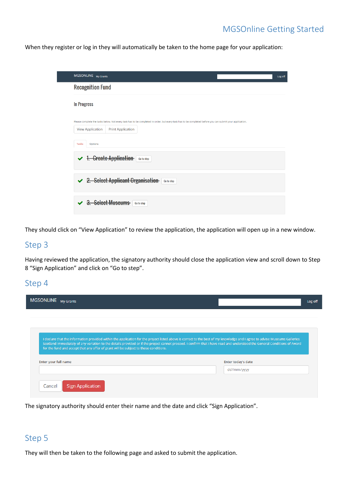# MGSOnline Getting Started

When they register or log in they will automatically be taken to the home page for your application:

| MGSONLINE My Grants                                                                                                                                                                                             | Log off |
|-----------------------------------------------------------------------------------------------------------------------------------------------------------------------------------------------------------------|---------|
| <b>Recognition Fund</b>                                                                                                                                                                                         |         |
| In Progress                                                                                                                                                                                                     |         |
| Please complete the tasks below. Not every task has to be completed in order, but every task has to be completed before you can submit your application.<br><b>Print Application</b><br><b>View Application</b> |         |
| <b>Tasks</b><br>Options                                                                                                                                                                                         |         |
| <b>Greate Application</b><br>Go to step                                                                                                                                                                         |         |
| <b>Select Applicant Organisation</b><br>$2 -$<br>Go to step                                                                                                                                                     |         |
| <b>Select Museums</b><br>Go to step                                                                                                                                                                             |         |

They should click on "View Application" to review the application, the application will open up in a new window.

### Step 3

Having reviewed the application, the signatory authority should close the application view and scroll down to Step 8 "Sign Application" and click on "Go to step".

#### Step 4

| MGSONLINE My Grants                                                                                                                                                                                                                                               |                    | Log off |
|-------------------------------------------------------------------------------------------------------------------------------------------------------------------------------------------------------------------------------------------------------------------|--------------------|---------|
|                                                                                                                                                                                                                                                                   |                    |         |
| I declare that the information provided within the application for the project listed above is correct to the best of my knowledge and I agree to advise Museums Galleries                                                                                        |                    |         |
| Scotland immediately of any variation to the details provided or if the project cannot proceed. I confirm that I have read and understood the General Conditions of Award<br>for the fund and accept that any offer of grant will be subject to these conditions. |                    |         |
| Enter your full name                                                                                                                                                                                                                                              | Enter today's date |         |
|                                                                                                                                                                                                                                                                   | dd/mm/yyyy         |         |
| <b>Sign Application</b><br>Cancel                                                                                                                                                                                                                                 |                    |         |

The signatory authority should enter their name and the date and click "Sign Application".

# Step 5

They will then be taken to the following page and asked to submit the application.